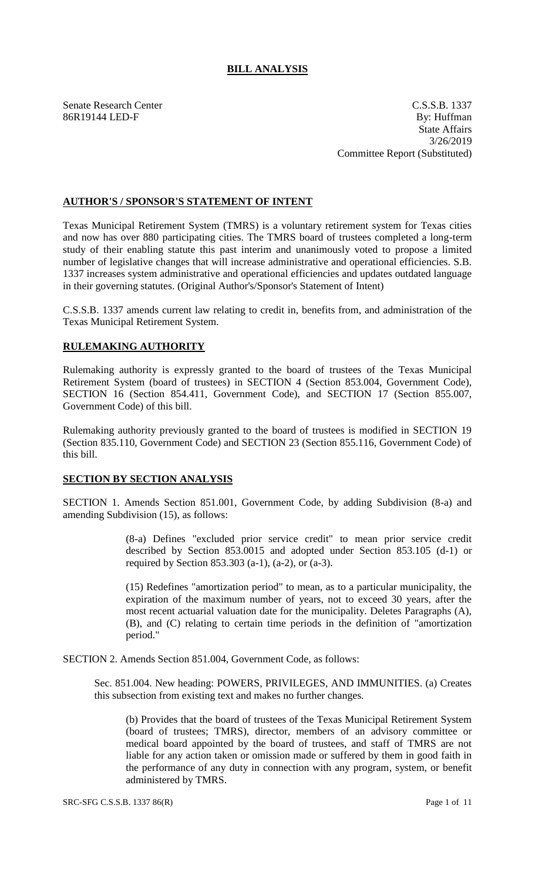## **BILL ANALYSIS**

Senate Research Center C.S.S.B. 1337 86R19144 LED-F By: Huffman State Affairs 3/26/2019 Committee Report (Substituted)

## **AUTHOR'S / SPONSOR'S STATEMENT OF INTENT**

Texas Municipal Retirement System (TMRS) is a voluntary retirement system for Texas cities and now has over 880 participating cities. The TMRS board of trustees completed a long-term study of their enabling statute this past interim and unanimously voted to propose a limited number of legislative changes that will increase administrative and operational efficiencies. S.B. 1337 increases system administrative and operational efficiencies and updates outdated language in their governing statutes. (Original Author's/Sponsor's Statement of Intent)

C.S.S.B. 1337 amends current law relating to credit in, benefits from, and administration of the Texas Municipal Retirement System.

## **RULEMAKING AUTHORITY**

Rulemaking authority is expressly granted to the board of trustees of the Texas Municipal Retirement System (board of trustees) in SECTION 4 (Section 853.004, Government Code), SECTION 16 (Section 854.411, Government Code), and SECTION 17 (Section 855.007, Government Code) of this bill.

Rulemaking authority previously granted to the board of trustees is modified in SECTION 19 (Section 835.110, Government Code) and SECTION 23 (Section 855.116, Government Code) of this bill.

## **SECTION BY SECTION ANALYSIS**

SECTION 1. Amends Section 851.001, Government Code, by adding Subdivision (8-a) and amending Subdivision (15), as follows:

> (8-a) Defines "excluded prior service credit" to mean prior service credit described by Section 853.0015 and adopted under Section 853.105 (d-1) or required by Section 853.303 (a-1), (a-2), or (a-3).

> (15) Redefines "amortization period" to mean, as to a particular municipality, the expiration of the maximum number of years, not to exceed 30 years, after the most recent actuarial valuation date for the municipality. Deletes Paragraphs (A), (B), and (C) relating to certain time periods in the definition of "amortization period."

SECTION 2. Amends Section 851.004, Government Code, as follows:

Sec. 851.004. New heading: POWERS, PRIVILEGES, AND IMMUNITIES. (a) Creates this subsection from existing text and makes no further changes.

(b) Provides that the board of trustees of the Texas Municipal Retirement System (board of trustees; TMRS), director, members of an advisory committee or medical board appointed by the board of trustees, and staff of TMRS are not liable for any action taken or omission made or suffered by them in good faith in the performance of any duty in connection with any program, system, or benefit administered by TMRS.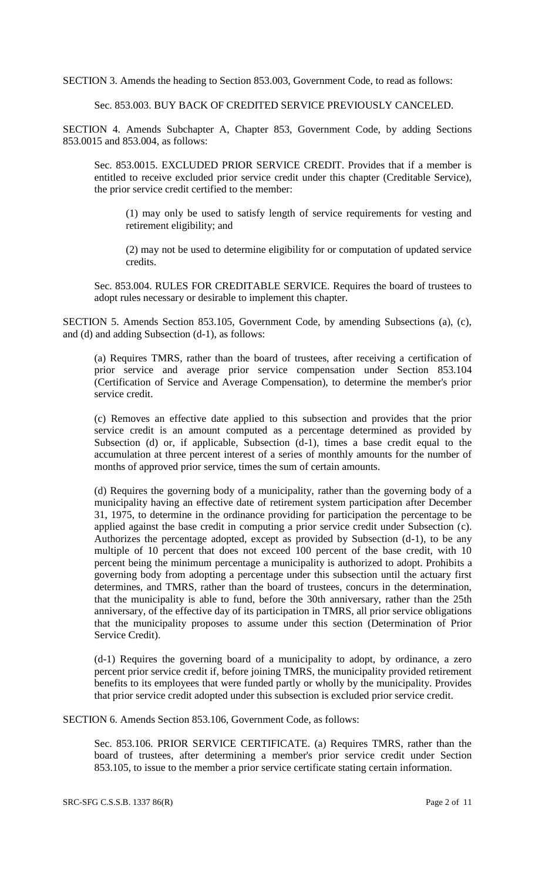SECTION 3. Amends the heading to Section 853.003, Government Code, to read as follows:

Sec. 853.003. BUY BACK OF CREDITED SERVICE PREVIOUSLY CANCELED.

SECTION 4. Amends Subchapter A, Chapter 853, Government Code, by adding Sections 853.0015 and 853.004, as follows:

Sec. 853.0015. EXCLUDED PRIOR SERVICE CREDIT. Provides that if a member is entitled to receive excluded prior service credit under this chapter (Creditable Service), the prior service credit certified to the member:

(1) may only be used to satisfy length of service requirements for vesting and retirement eligibility; and

(2) may not be used to determine eligibility for or computation of updated service credits.

Sec. 853.004. RULES FOR CREDITABLE SERVICE. Requires the board of trustees to adopt rules necessary or desirable to implement this chapter.

SECTION 5. Amends Section 853.105, Government Code, by amending Subsections (a), (c), and (d) and adding Subsection (d-1), as follows:

(a) Requires TMRS, rather than the board of trustees, after receiving a certification of prior service and average prior service compensation under Section 853.104 (Certification of Service and Average Compensation), to determine the member's prior service credit.

(c) Removes an effective date applied to this subsection and provides that the prior service credit is an amount computed as a percentage determined as provided by Subsection (d) or, if applicable, Subsection (d-1), times a base credit equal to the accumulation at three percent interest of a series of monthly amounts for the number of months of approved prior service, times the sum of certain amounts.

(d) Requires the governing body of a municipality, rather than the governing body of a municipality having an effective date of retirement system participation after December 31, 1975, to determine in the ordinance providing for participation the percentage to be applied against the base credit in computing a prior service credit under Subsection (c). Authorizes the percentage adopted, except as provided by Subsection (d-1), to be any multiple of 10 percent that does not exceed 100 percent of the base credit, with 10 percent being the minimum percentage a municipality is authorized to adopt. Prohibits a governing body from adopting a percentage under this subsection until the actuary first determines, and TMRS, rather than the board of trustees, concurs in the determination, that the municipality is able to fund, before the 30th anniversary, rather than the 25th anniversary, of the effective day of its participation in TMRS, all prior service obligations that the municipality proposes to assume under this section (Determination of Prior Service Credit).

(d-1) Requires the governing board of a municipality to adopt, by ordinance, a zero percent prior service credit if, before joining TMRS, the municipality provided retirement benefits to its employees that were funded partly or wholly by the municipality. Provides that prior service credit adopted under this subsection is excluded prior service credit.

SECTION 6. Amends Section 853.106, Government Code, as follows:

Sec. 853.106. PRIOR SERVICE CERTIFICATE. (a) Requires TMRS, rather than the board of trustees, after determining a member's prior service credit under Section 853.105, to issue to the member a prior service certificate stating certain information.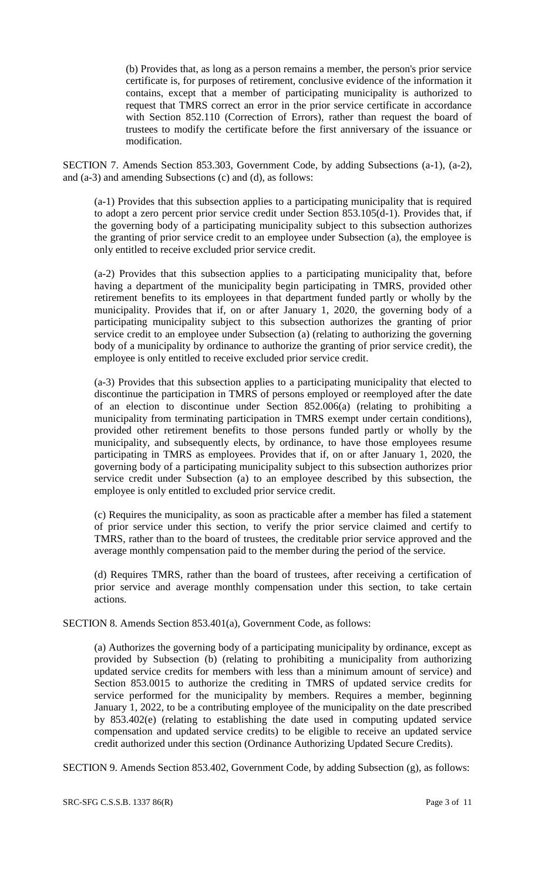(b) Provides that, as long as a person remains a member, the person's prior service certificate is, for purposes of retirement, conclusive evidence of the information it contains, except that a member of participating municipality is authorized to request that TMRS correct an error in the prior service certificate in accordance with Section 852.110 (Correction of Errors), rather than request the board of trustees to modify the certificate before the first anniversary of the issuance or modification.

SECTION 7. Amends Section 853.303, Government Code, by adding Subsections (a-1), (a-2), and (a-3) and amending Subsections (c) and (d), as follows:

(a-1) Provides that this subsection applies to a participating municipality that is required to adopt a zero percent prior service credit under Section 853.105(d-1). Provides that, if the governing body of a participating municipality subject to this subsection authorizes the granting of prior service credit to an employee under Subsection (a), the employee is only entitled to receive excluded prior service credit.

(a-2) Provides that this subsection applies to a participating municipality that, before having a department of the municipality begin participating in TMRS, provided other retirement benefits to its employees in that department funded partly or wholly by the municipality. Provides that if, on or after January 1, 2020, the governing body of a participating municipality subject to this subsection authorizes the granting of prior service credit to an employee under Subsection (a) (relating to authorizing the governing body of a municipality by ordinance to authorize the granting of prior service credit), the employee is only entitled to receive excluded prior service credit.

(a-3) Provides that this subsection applies to a participating municipality that elected to discontinue the participation in TMRS of persons employed or reemployed after the date of an election to discontinue under Section 852.006(a) (relating to prohibiting a municipality from terminating participation in TMRS exempt under certain conditions), provided other retirement benefits to those persons funded partly or wholly by the municipality, and subsequently elects, by ordinance, to have those employees resume participating in TMRS as employees. Provides that if, on or after January 1, 2020, the governing body of a participating municipality subject to this subsection authorizes prior service credit under Subsection (a) to an employee described by this subsection, the employee is only entitled to excluded prior service credit.

(c) Requires the municipality, as soon as practicable after a member has filed a statement of prior service under this section, to verify the prior service claimed and certify to TMRS, rather than to the board of trustees, the creditable prior service approved and the average monthly compensation paid to the member during the period of the service.

(d) Requires TMRS, rather than the board of trustees, after receiving a certification of prior service and average monthly compensation under this section, to take certain actions.

SECTION 8. Amends Section 853.401(a), Government Code, as follows:

(a) Authorizes the governing body of a participating municipality by ordinance, except as provided by Subsection (b) (relating to prohibiting a municipality from authorizing updated service credits for members with less than a minimum amount of service) and Section 853.0015 to authorize the crediting in TMRS of updated service credits for service performed for the municipality by members. Requires a member, beginning January 1, 2022, to be a contributing employee of the municipality on the date prescribed by 853.402(e) (relating to establishing the date used in computing updated service compensation and updated service credits) to be eligible to receive an updated service credit authorized under this section (Ordinance Authorizing Updated Secure Credits).

SECTION 9. Amends Section 853.402, Government Code, by adding Subsection (g), as follows: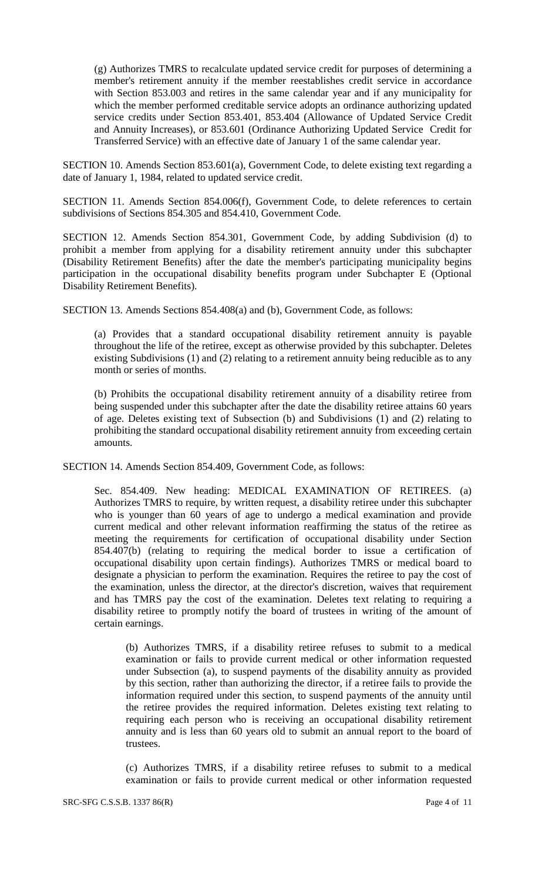(g) Authorizes TMRS to recalculate updated service credit for purposes of determining a member's retirement annuity if the member reestablishes credit service in accordance with Section 853.003 and retires in the same calendar year and if any municipality for which the member performed creditable service adopts an ordinance authorizing updated service credits under Section 853.401, 853.404 (Allowance of Updated Service Credit and Annuity Increases), or 853.601 (Ordinance Authorizing Updated Service Credit for Transferred Service) with an effective date of January 1 of the same calendar year.

SECTION 10. Amends Section 853.601(a), Government Code, to delete existing text regarding a date of January 1, 1984, related to updated service credit.

SECTION 11. Amends Section 854.006(f), Government Code, to delete references to certain subdivisions of Sections 854.305 and 854.410, Government Code.

SECTION 12. Amends Section 854.301, Government Code, by adding Subdivision (d) to prohibit a member from applying for a disability retirement annuity under this subchapter (Disability Retirement Benefits) after the date the member's participating municipality begins participation in the occupational disability benefits program under Subchapter E (Optional Disability Retirement Benefits).

SECTION 13. Amends Sections 854.408(a) and (b), Government Code, as follows:

(a) Provides that a standard occupational disability retirement annuity is payable throughout the life of the retiree, except as otherwise provided by this subchapter. Deletes existing Subdivisions (1) and (2) relating to a retirement annuity being reducible as to any month or series of months.

(b) Prohibits the occupational disability retirement annuity of a disability retiree from being suspended under this subchapter after the date the disability retiree attains 60 years of age. Deletes existing text of Subsection (b) and Subdivisions (1) and (2) relating to prohibiting the standard occupational disability retirement annuity from exceeding certain amounts.

SECTION 14. Amends Section 854.409, Government Code, as follows:

Sec. 854.409. New heading: MEDICAL EXAMINATION OF RETIREES. (a) Authorizes TMRS to require, by written request, a disability retiree under this subchapter who is younger than 60 years of age to undergo a medical examination and provide current medical and other relevant information reaffirming the status of the retiree as meeting the requirements for certification of occupational disability under Section 854.407(b) (relating to requiring the medical border to issue a certification of occupational disability upon certain findings). Authorizes TMRS or medical board to designate a physician to perform the examination. Requires the retiree to pay the cost of the examination, unless the director, at the director's discretion, waives that requirement and has TMRS pay the cost of the examination. Deletes text relating to requiring a disability retiree to promptly notify the board of trustees in writing of the amount of certain earnings.

(b) Authorizes TMRS, if a disability retiree refuses to submit to a medical examination or fails to provide current medical or other information requested under Subsection (a), to suspend payments of the disability annuity as provided by this section, rather than authorizing the director, if a retiree fails to provide the information required under this section, to suspend payments of the annuity until the retiree provides the required information. Deletes existing text relating to requiring each person who is receiving an occupational disability retirement annuity and is less than 60 years old to submit an annual report to the board of trustees.

(c) Authorizes TMRS, if a disability retiree refuses to submit to a medical examination or fails to provide current medical or other information requested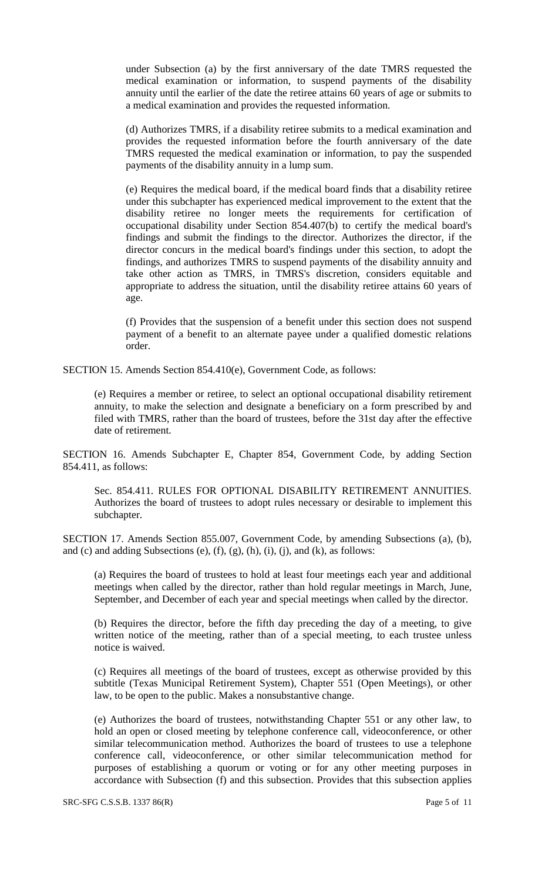under Subsection (a) by the first anniversary of the date TMRS requested the medical examination or information, to suspend payments of the disability annuity until the earlier of the date the retiree attains 60 years of age or submits to a medical examination and provides the requested information.

(d) Authorizes TMRS, if a disability retiree submits to a medical examination and provides the requested information before the fourth anniversary of the date TMRS requested the medical examination or information, to pay the suspended payments of the disability annuity in a lump sum.

(e) Requires the medical board, if the medical board finds that a disability retiree under this subchapter has experienced medical improvement to the extent that the disability retiree no longer meets the requirements for certification of occupational disability under Section 854.407(b) to certify the medical board's findings and submit the findings to the director. Authorizes the director, if the director concurs in the medical board's findings under this section, to adopt the findings, and authorizes TMRS to suspend payments of the disability annuity and take other action as TMRS, in TMRS's discretion, considers equitable and appropriate to address the situation, until the disability retiree attains 60 years of age.

(f) Provides that the suspension of a benefit under this section does not suspend payment of a benefit to an alternate payee under a qualified domestic relations order.

SECTION 15. Amends Section 854.410(e), Government Code, as follows:

(e) Requires a member or retiree, to select an optional occupational disability retirement annuity, to make the selection and designate a beneficiary on a form prescribed by and filed with TMRS, rather than the board of trustees, before the 31st day after the effective date of retirement.

SECTION 16. Amends Subchapter E, Chapter 854, Government Code, by adding Section 854.411, as follows:

Sec. 854.411. RULES FOR OPTIONAL DISABILITY RETIREMENT ANNUITIES. Authorizes the board of trustees to adopt rules necessary or desirable to implement this subchapter.

SECTION 17. Amends Section 855.007, Government Code, by amending Subsections (a), (b), and (c) and adding Subsections (e),  $(f)$ ,  $(g)$ ,  $(h)$ ,  $(i)$ ,  $(j)$ , and  $(k)$ , as follows:

(a) Requires the board of trustees to hold at least four meetings each year and additional meetings when called by the director, rather than hold regular meetings in March, June, September, and December of each year and special meetings when called by the director.

(b) Requires the director, before the fifth day preceding the day of a meeting, to give written notice of the meeting, rather than of a special meeting, to each trustee unless notice is waived.

(c) Requires all meetings of the board of trustees, except as otherwise provided by this subtitle (Texas Municipal Retirement System), Chapter 551 (Open Meetings), or other law, to be open to the public. Makes a nonsubstantive change.

(e) Authorizes the board of trustees, notwithstanding Chapter 551 or any other law, to hold an open or closed meeting by telephone conference call, videoconference, or other similar telecommunication method. Authorizes the board of trustees to use a telephone conference call, videoconference, or other similar telecommunication method for purposes of establishing a quorum or voting or for any other meeting purposes in accordance with Subsection (f) and this subsection. Provides that this subsection applies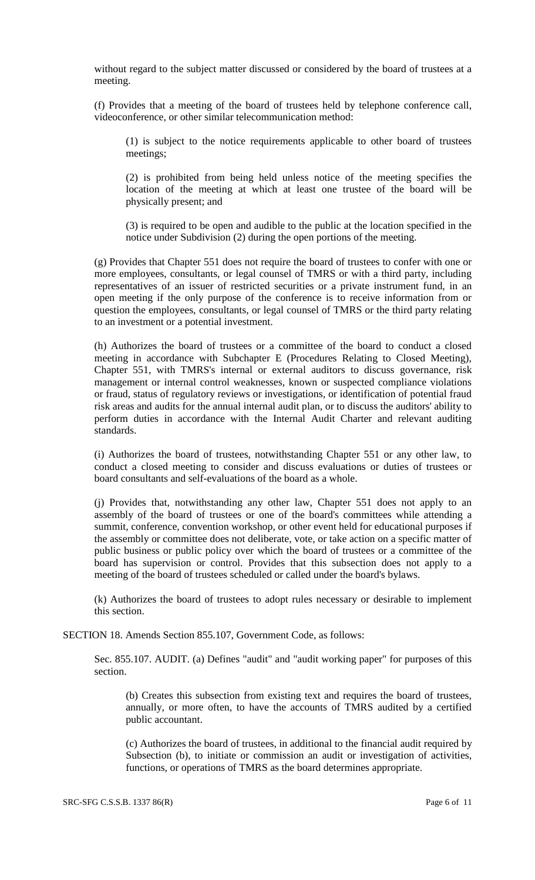without regard to the subject matter discussed or considered by the board of trustees at a meeting.

(f) Provides that a meeting of the board of trustees held by telephone conference call, videoconference, or other similar telecommunication method:

(1) is subject to the notice requirements applicable to other board of trustees meetings;

(2) is prohibited from being held unless notice of the meeting specifies the location of the meeting at which at least one trustee of the board will be physically present; and

(3) is required to be open and audible to the public at the location specified in the notice under Subdivision (2) during the open portions of the meeting.

(g) Provides that Chapter 551 does not require the board of trustees to confer with one or more employees, consultants, or legal counsel of TMRS or with a third party, including representatives of an issuer of restricted securities or a private instrument fund, in an open meeting if the only purpose of the conference is to receive information from or question the employees, consultants, or legal counsel of TMRS or the third party relating to an investment or a potential investment.

(h) Authorizes the board of trustees or a committee of the board to conduct a closed meeting in accordance with Subchapter E (Procedures Relating to Closed Meeting), Chapter 551, with TMRS's internal or external auditors to discuss governance, risk management or internal control weaknesses, known or suspected compliance violations or fraud, status of regulatory reviews or investigations, or identification of potential fraud risk areas and audits for the annual internal audit plan, or to discuss the auditors' ability to perform duties in accordance with the Internal Audit Charter and relevant auditing standards.

(i) Authorizes the board of trustees, notwithstanding Chapter 551 or any other law, to conduct a closed meeting to consider and discuss evaluations or duties of trustees or board consultants and self-evaluations of the board as a whole.

(j) Provides that, notwithstanding any other law, Chapter 551 does not apply to an assembly of the board of trustees or one of the board's committees while attending a summit, conference, convention workshop, or other event held for educational purposes if the assembly or committee does not deliberate, vote, or take action on a specific matter of public business or public policy over which the board of trustees or a committee of the board has supervision or control. Provides that this subsection does not apply to a meeting of the board of trustees scheduled or called under the board's bylaws.

(k) Authorizes the board of trustees to adopt rules necessary or desirable to implement this section.

SECTION 18. Amends Section 855.107, Government Code, as follows:

Sec. 855.107. AUDIT. (a) Defines "audit" and "audit working paper" for purposes of this section.

(b) Creates this subsection from existing text and requires the board of trustees, annually, or more often, to have the accounts of TMRS audited by a certified public accountant.

(c) Authorizes the board of trustees, in additional to the financial audit required by Subsection (b), to initiate or commission an audit or investigation of activities, functions, or operations of TMRS as the board determines appropriate.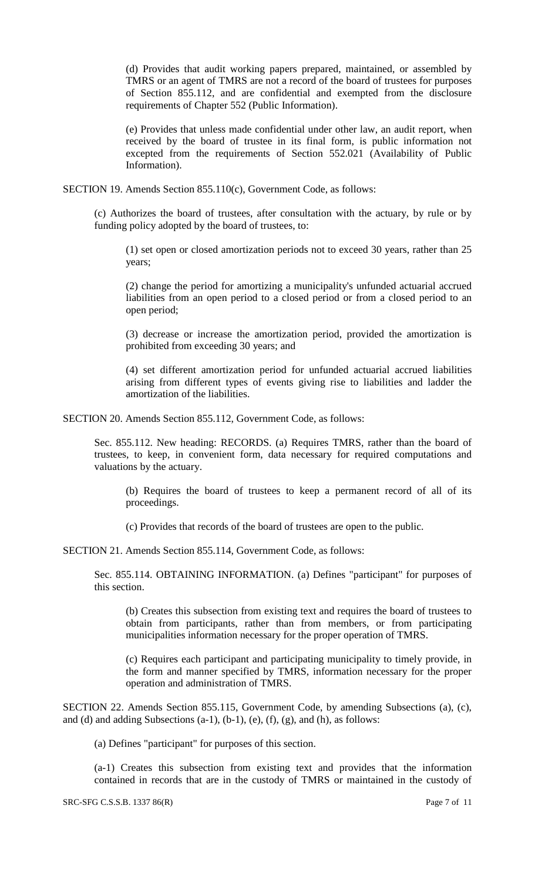(d) Provides that audit working papers prepared, maintained, or assembled by TMRS or an agent of TMRS are not a record of the board of trustees for purposes of Section 855.112, and are confidential and exempted from the disclosure requirements of Chapter 552 (Public Information).

(e) Provides that unless made confidential under other law, an audit report, when received by the board of trustee in its final form, is public information not excepted from the requirements of Section 552.021 (Availability of Public Information).

SECTION 19. Amends Section 855.110(c), Government Code, as follows:

(c) Authorizes the board of trustees, after consultation with the actuary, by rule or by funding policy adopted by the board of trustees, to:

(1) set open or closed amortization periods not to exceed 30 years, rather than 25 years;

(2) change the period for amortizing a municipality's unfunded actuarial accrued liabilities from an open period to a closed period or from a closed period to an open period;

(3) decrease or increase the amortization period, provided the amortization is prohibited from exceeding 30 years; and

(4) set different amortization period for unfunded actuarial accrued liabilities arising from different types of events giving rise to liabilities and ladder the amortization of the liabilities.

SECTION 20. Amends Section 855.112, Government Code, as follows:

Sec. 855.112. New heading: RECORDS. (a) Requires TMRS, rather than the board of trustees, to keep, in convenient form, data necessary for required computations and valuations by the actuary.

(b) Requires the board of trustees to keep a permanent record of all of its proceedings.

(c) Provides that records of the board of trustees are open to the public.

SECTION 21. Amends Section 855.114, Government Code, as follows:

Sec. 855.114. OBTAINING INFORMATION. (a) Defines "participant" for purposes of this section.

(b) Creates this subsection from existing text and requires the board of trustees to obtain from participants, rather than from members, or from participating municipalities information necessary for the proper operation of TMRS.

(c) Requires each participant and participating municipality to timely provide, in the form and manner specified by TMRS, information necessary for the proper operation and administration of TMRS.

SECTION 22. Amends Section 855.115, Government Code, by amending Subsections (a), (c), and (d) and adding Subsections  $(a-1)$ ,  $(b-1)$ ,  $(e)$ ,  $(f)$ ,  $(g)$ , and  $(h)$ , as follows:

(a) Defines "participant" for purposes of this section.

(a-1) Creates this subsection from existing text and provides that the information contained in records that are in the custody of TMRS or maintained in the custody of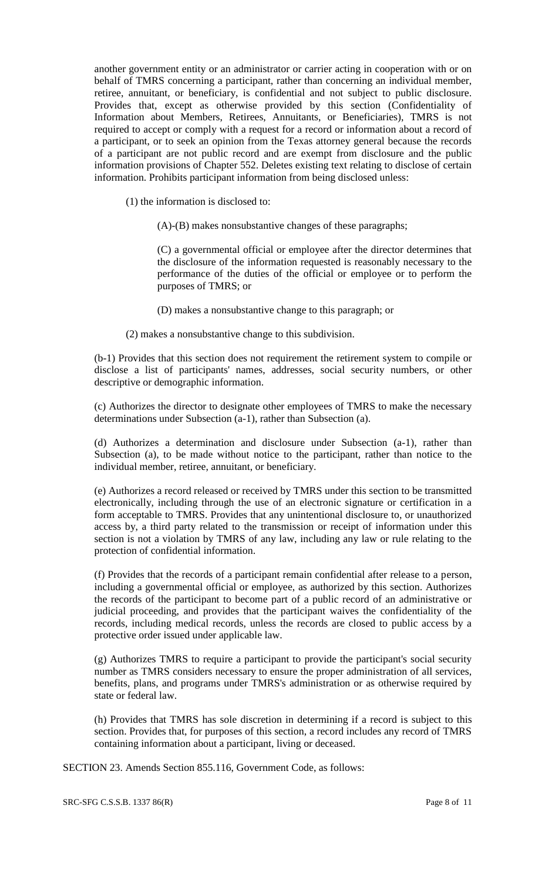another government entity or an administrator or carrier acting in cooperation with or on behalf of TMRS concerning a participant, rather than concerning an individual member, retiree, annuitant, or beneficiary, is confidential and not subject to public disclosure. Provides that, except as otherwise provided by this section (Confidentiality of Information about Members, Retirees, Annuitants, or Beneficiaries), TMRS is not required to accept or comply with a request for a record or information about a record of a participant, or to seek an opinion from the Texas attorney general because the records of a participant are not public record and are exempt from disclosure and the public information provisions of Chapter 552. Deletes existing text relating to disclose of certain information. Prohibits participant information from being disclosed unless:

- (1) the information is disclosed to:
	- (A)-(B) makes nonsubstantive changes of these paragraphs;

(C) a governmental official or employee after the director determines that the disclosure of the information requested is reasonably necessary to the performance of the duties of the official or employee or to perform the purposes of TMRS; or

- (D) makes a nonsubstantive change to this paragraph; or
- (2) makes a nonsubstantive change to this subdivision.

(b-1) Provides that this section does not requirement the retirement system to compile or disclose a list of participants' names, addresses, social security numbers, or other descriptive or demographic information.

(c) Authorizes the director to designate other employees of TMRS to make the necessary determinations under Subsection (a-1), rather than Subsection (a).

(d) Authorizes a determination and disclosure under Subsection (a-1), rather than Subsection (a), to be made without notice to the participant, rather than notice to the individual member, retiree, annuitant, or beneficiary.

(e) Authorizes a record released or received by TMRS under this section to be transmitted electronically, including through the use of an electronic signature or certification in a form acceptable to TMRS. Provides that any unintentional disclosure to, or unauthorized access by, a third party related to the transmission or receipt of information under this section is not a violation by TMRS of any law, including any law or rule relating to the protection of confidential information.

(f) Provides that the records of a participant remain confidential after release to a person, including a governmental official or employee, as authorized by this section. Authorizes the records of the participant to become part of a public record of an administrative or judicial proceeding, and provides that the participant waives the confidentiality of the records, including medical records, unless the records are closed to public access by a protective order issued under applicable law.

(g) Authorizes TMRS to require a participant to provide the participant's social security number as TMRS considers necessary to ensure the proper administration of all services, benefits, plans, and programs under TMRS's administration or as otherwise required by state or federal law.

(h) Provides that TMRS has sole discretion in determining if a record is subject to this section. Provides that, for purposes of this section, a record includes any record of TMRS containing information about a participant, living or deceased.

SECTION 23. Amends Section 855.116, Government Code, as follows: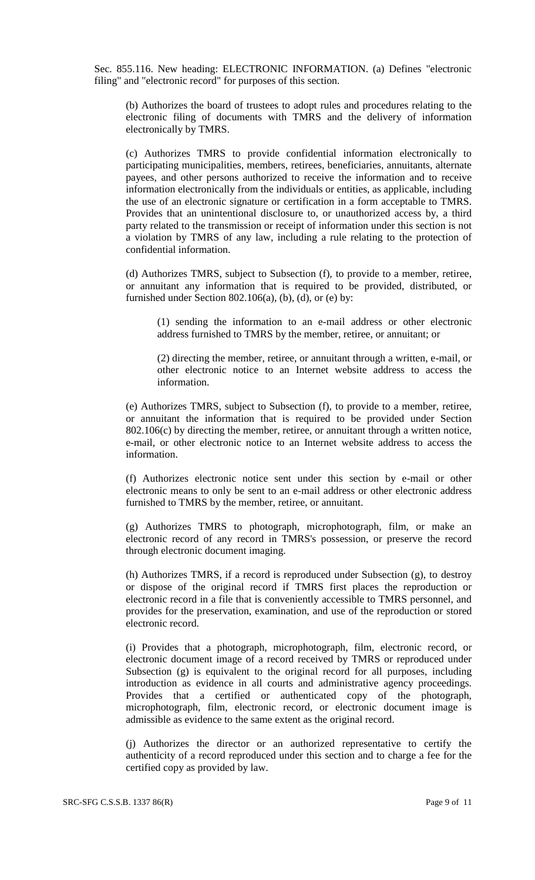Sec. 855.116. New heading: ELECTRONIC INFORMATION. (a) Defines "electronic filing" and "electronic record" for purposes of this section.

(b) Authorizes the board of trustees to adopt rules and procedures relating to the electronic filing of documents with TMRS and the delivery of information electronically by TMRS.

(c) Authorizes TMRS to provide confidential information electronically to participating municipalities, members, retirees, beneficiaries, annuitants, alternate payees, and other persons authorized to receive the information and to receive information electronically from the individuals or entities, as applicable, including the use of an electronic signature or certification in a form acceptable to TMRS. Provides that an unintentional disclosure to, or unauthorized access by, a third party related to the transmission or receipt of information under this section is not a violation by TMRS of any law, including a rule relating to the protection of confidential information.

(d) Authorizes TMRS, subject to Subsection (f), to provide to a member, retiree, or annuitant any information that is required to be provided, distributed, or furnished under Section 802.106(a), (b), (d), or (e) by:

(1) sending the information to an e-mail address or other electronic address furnished to TMRS by the member, retiree, or annuitant; or

(2) directing the member, retiree, or annuitant through a written, e-mail, or other electronic notice to an Internet website address to access the information.

(e) Authorizes TMRS, subject to Subsection (f), to provide to a member, retiree, or annuitant the information that is required to be provided under Section 802.106(c) by directing the member, retiree, or annuitant through a written notice, e-mail, or other electronic notice to an Internet website address to access the information.

(f) Authorizes electronic notice sent under this section by e-mail or other electronic means to only be sent to an e-mail address or other electronic address furnished to TMRS by the member, retiree, or annuitant.

(g) Authorizes TMRS to photograph, microphotograph, film, or make an electronic record of any record in TMRS's possession, or preserve the record through electronic document imaging.

(h) Authorizes TMRS, if a record is reproduced under Subsection (g), to destroy or dispose of the original record if TMRS first places the reproduction or electronic record in a file that is conveniently accessible to TMRS personnel, and provides for the preservation, examination, and use of the reproduction or stored electronic record.

(i) Provides that a photograph, microphotograph, film, electronic record, or electronic document image of a record received by TMRS or reproduced under Subsection (g) is equivalent to the original record for all purposes, including introduction as evidence in all courts and administrative agency proceedings. Provides that a certified or authenticated copy of the photograph, microphotograph, film, electronic record, or electronic document image is admissible as evidence to the same extent as the original record.

(j) Authorizes the director or an authorized representative to certify the authenticity of a record reproduced under this section and to charge a fee for the certified copy as provided by law.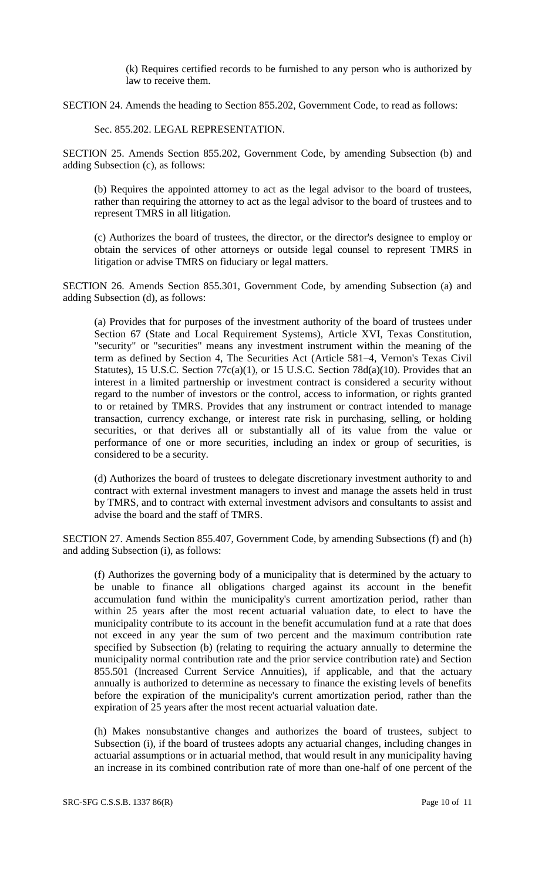(k) Requires certified records to be furnished to any person who is authorized by law to receive them.

SECTION 24. Amends the heading to Section 855.202, Government Code, to read as follows:

Sec. 855.202. LEGAL REPRESENTATION.

SECTION 25. Amends Section 855.202, Government Code, by amending Subsection (b) and adding Subsection (c), as follows:

(b) Requires the appointed attorney to act as the legal advisor to the board of trustees, rather than requiring the attorney to act as the legal advisor to the board of trustees and to represent TMRS in all litigation.

(c) Authorizes the board of trustees, the director, or the director's designee to employ or obtain the services of other attorneys or outside legal counsel to represent TMRS in litigation or advise TMRS on fiduciary or legal matters.

SECTION 26. Amends Section 855.301, Government Code, by amending Subsection (a) and adding Subsection (d), as follows:

(a) Provides that for purposes of the investment authority of the board of trustees under Section 67 (State and Local Requirement Systems), Article XVI, Texas Constitution, "security" or "securities" means any investment instrument within the meaning of the term as defined by Section 4, The Securities Act (Article 581–4, Vernon's Texas Civil Statutes), 15 U.S.C. Section  $77c(a)(1)$ , or 15 U.S.C. Section  $78d(a)(10)$ . Provides that an interest in a limited partnership or investment contract is considered a security without regard to the number of investors or the control, access to information, or rights granted to or retained by TMRS. Provides that any instrument or contract intended to manage transaction, currency exchange, or interest rate risk in purchasing, selling, or holding securities, or that derives all or substantially all of its value from the value or performance of one or more securities, including an index or group of securities, is considered to be a security.

(d) Authorizes the board of trustees to delegate discretionary investment authority to and contract with external investment managers to invest and manage the assets held in trust by TMRS, and to contract with external investment advisors and consultants to assist and advise the board and the staff of TMRS.

SECTION 27. Amends Section 855.407, Government Code, by amending Subsections (f) and (h) and adding Subsection (i), as follows:

(f) Authorizes the governing body of a municipality that is determined by the actuary to be unable to finance all obligations charged against its account in the benefit accumulation fund within the municipality's current amortization period, rather than within 25 years after the most recent actuarial valuation date, to elect to have the municipality contribute to its account in the benefit accumulation fund at a rate that does not exceed in any year the sum of two percent and the maximum contribution rate specified by Subsection (b) (relating to requiring the actuary annually to determine the municipality normal contribution rate and the prior service contribution rate) and Section 855.501 (Increased Current Service Annuities), if applicable, and that the actuary annually is authorized to determine as necessary to finance the existing levels of benefits before the expiration of the municipality's current amortization period, rather than the expiration of 25 years after the most recent actuarial valuation date.

(h) Makes nonsubstantive changes and authorizes the board of trustees, subject to Subsection (i), if the board of trustees adopts any actuarial changes, including changes in actuarial assumptions or in actuarial method, that would result in any municipality having an increase in its combined contribution rate of more than one-half of one percent of the